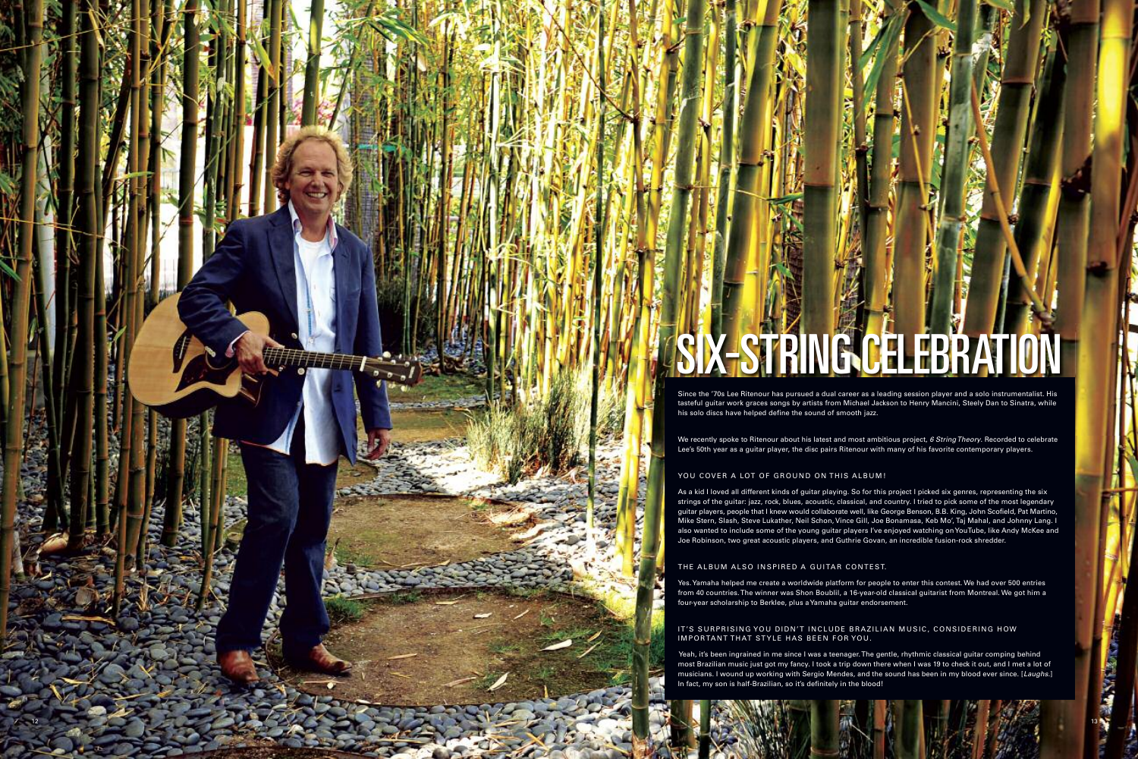

# STRINGGELEBRATION

Since the '70s Lee Ritenour has pursued a dual career as a leading session player and a solo instrumentalist. His tasteful guitar work graces songs by artists from Michael Jackson to Henry Mancini, Steely Dan to Sinatra, while

We recently spoke to Ritenour about his latest and most ambitious project, *6 String Theory*. Recorded to celebrate Lee's 50th year as a guitar player, the disc pairs Ritenour with many of his favorite contemporary players.

As a kid I loved all different kinds of guitar playing. So for this project I picked six genres, representing the six strings of the guitar: jazz, rock, blues, acoustic, classical, and country. I tried to pick some of the most legendary guitar players, people that I knew would collaborate well, like George Benson, B.B. King, John Scofield, Pat Martino, Mike Stern, Slash, Steve Lukather, Neil Schon, Vince Gill, Joe Bonamasa, Keb Mo', Taj Mahal, and Johnny Lang. I also wanted to include some of the young guitar players I've enjoyed watching on YouTube, like Andy McKee and Joe Robinson, two great acoustic players, and Guthrie Govan, an incredible fusion-rock shredder.

Yes. Yamaha helped me create a worldwide platform for people to enter this contest. We had over 500 entries from 40 countries. The winner was Shon Boublil, a 16-year-old classical guitarist from Montreal. We got him a four-year scholarship to Berklee, plus a Yamaha guitar endorsement.

IT'S SURPRISING YOU DIDN'T INCLUDE BRAZILIAN MUSIC, CONSIDERING HOW

Yeah, it's been ingrained in me since I was a teenager. The gentle, rhythmic classical guitar comping behind most Brazilian music just got my fancy. I took a trip down there when I was 19 to check it out, and I met a lot of musicians. I wound up working with Sergio Mendes, and the sound has been in my blood ever since. [*Laughs.* ]

13

**MANTISTO**